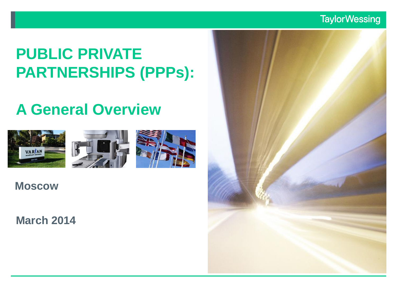### **TaylorWessing**

# **PUBLIC PRIVATE PARTNERSHIPS (PPPs):**

# **A General Overview**







**Moscow**

**March 2014**

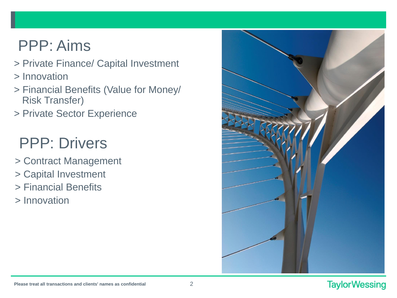# PPP: Aims

- > Private Finance/ Capital Investment
- > Innovation
- > Financial Benefits (Value for Money/ Risk Transfer)
- > Private Sector Experience

# PPP: Drivers

- > Contract Management
- > Capital Investment
- > Financial Benefits
- > Innovation

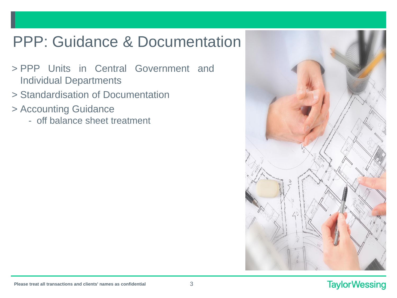# PPP: Guidance & Documentation

- > PPP Units in Central Government and Individual Departments
- > Standardisation of Documentation
- > Accounting Guidance
	- off balance sheet treatment

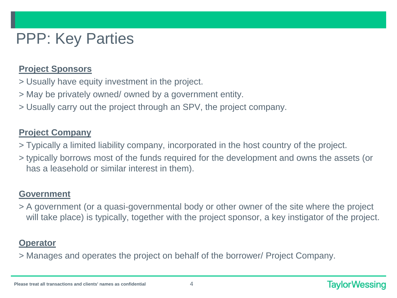# PPP: Key Parties

### **Project Sponsors**

- > Usually have equity investment in the project.
- > May be privately owned/ owned by a government entity.
- > Usually carry out the project through an SPV, the project company.

### **Project Company**

- > Typically a limited liability company, incorporated in the host country of the project.
- > typically borrows most of the funds required for the development and owns the assets (or has a leasehold or similar interest in them).

### **Government**

> A government (or a quasi-governmental body or other owner of the site where the project will take place) is typically, together with the project sponsor, a key instigator of the project.

### **Operator**

> Manages and operates the project on behalf of the borrower/ Project Company.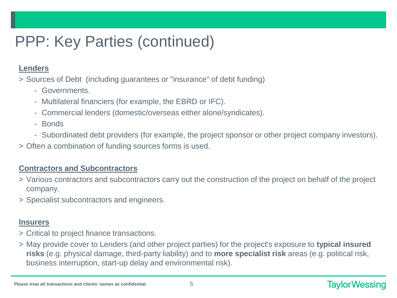# PPP: Key Parties (continued)

#### **Lenders**

- > Sources of Debt (including guarantees or "insurance" of debt funding)
	- Governments.
	- Multilateral financiers (for example, the EBRD or IFC).
	- Commercial lenders (domestic/overseas either alone/syndicates).
	- Bonds
	- Subordinated debt providers (for example, the project sponsor or other project company investors).
- > Often a combination of funding sources forms is used.

#### **Contractors and Subcontractors**

- > Various contractors and subcontractors carry out the construction of the project on behalf of the project company.
- > Specialist subcontractors and engineers.

#### **Insurers**

- > Critical to project finance transactions.
- > May provide cover to Lenders (and other project parties) for the project's exposure to **typical insured risks** (e.g. physical damage, third-party liability) and to **more specialist risk** areas (e.g. political risk, business interruption, start-up delay and environmental risk).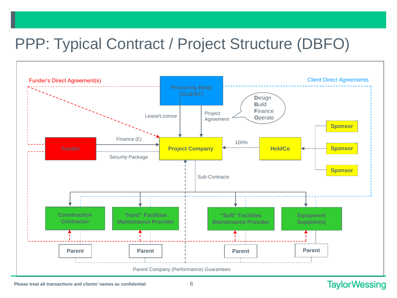# PPP: Typical Contract / Project Structure (DBFO)



#### **Please treat all transactions and clients' names as confidential** 6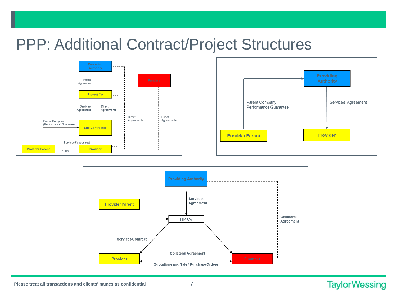## PPP: Additional Contract/Project Structures







#### **Please treat all transactions and clients' names as confidential** 7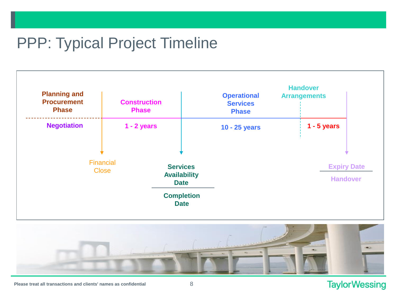## PPP: Typical Project Timeline





### **TaylorWessing**

**Please treat all transactions and clients' names as confidential** 8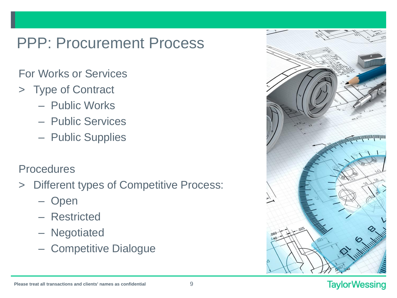## PPP: Procurement Process

### For Works or Services

- > Type of Contract
	- Public Works
	- Public Services
	- Public Supplies

### **Procedures**

- > Different types of Competitive Process:
	- Open
	- Restricted
	- Negotiated
	- Competitive Dialogue

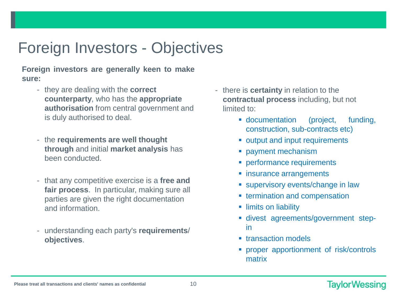# Foreign Investors - Objectives

**Foreign investors are generally keen to make sure:**

- they are dealing with the **correct counterparty**, who has the **appropriate authorisation** from central government and is duly authorised to deal.
- the **requirements are well thought through** and initial **market analysis** has been conducted.
- that any competitive exercise is a **free and fair process**. In particular, making sure all parties are given the right documentation and information.
- understanding each party's **requirements**/ **objectives**.
- there is **certainty** in relation to the **contractual process** including, but not limited to:
	- documentation (project, funding, construction, sub-contracts etc)
	- **output and input requirements**
	- **Payment mechanism**
	- **PEREFIELD PERITHER PERITHER**
	- **EXECUTE:** insurance arrangements
	- **supervisory events/change in law**
	- **Example 1** termination and compensation
	- **I**limits on liability
	- divest agreements/government stepin
	- **transaction models**
	- **•** proper apportionment of risk/controls matrix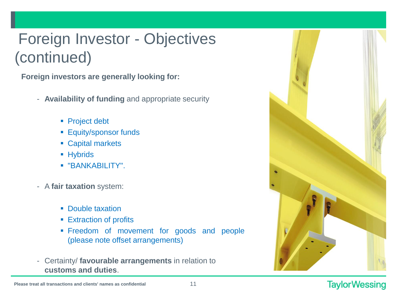# Foreign Investor - Objectives (continued)

**Foreign investors are generally looking for:**

- **Availability of funding** and appropriate security
	- **Project debt**
	- **Equity/sponsor funds**
	- Capital markets
	- **Hybrids**
	- "BANKABILITY".
- A **fair taxation** system:
	- **-** Double taxation
	- **Extraction of profits**
	- Freedom of movement for goods and people (please note offset arrangements)
- Certainty/ **favourable arrangements** in relation to **customs and duties**.

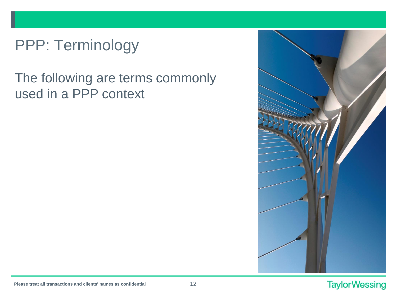# PPP: Terminology

## The following are terms commonly used in a PPP context

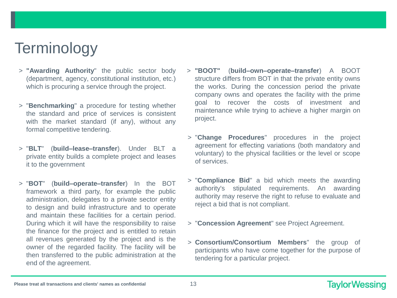## **Terminology**

- > **"Awarding Authority**" the public sector body (department, agency, constitutional institution, etc.) which is procuring a service through the project.
- > "**Benchmarking**" a procedure for testing whether the standard and price of services is consistent with the market standard (if any), without any formal competitive tendering.
- > "**BLT**" (**build–lease–transfer**). Under BLT a private entity builds a complete project and leases it to the government
- > "**BOT**" (**build–operate–transfer**) In the BOT framework a third party, for example the public administration, delegates to a private sector entity to design and build infrastructure and to operate and maintain these facilities for a certain period. During which it will have the responsibility to raise the finance for the project and is entitled to retain all revenues generated by the project and is the owner of the regarded facility. The facility will be then transferred to the public administration at the end of the agreement.
- > **"BOOT"** (**build–own–operate–transfer**) A BOOT structure differs from BOT in that the private entity owns the works. During the concession period the private company owns and operates the facility with the prime goal to recover the costs of investment and maintenance while trying to achieve a higher margin on project.
- > "**Change Procedures**" procedures in the project agreement for effecting variations (both mandatory and voluntary) to the physical facilities or the level or scope of services.
- > "**Compliance Bid**" a bid which meets the awarding authority's stipulated requirements. An awarding authority may reserve the right to refuse to evaluate and reject a bid that is not compliant.
- > "**Concession Agreement**" see Project Agreement.
- > **Consortium/Consortium Members**" the group of participants who have come together for the purpose of tendering for a particular project.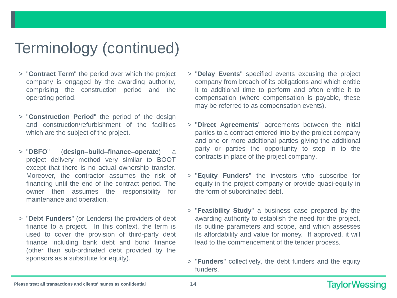- > "**Contract Term**" the period over which the project company is engaged by the awarding authority, comprising the construction period and the operating period.
- > "**Construction Period**" the period of the design and construction/refurbishment of the facilities which are the subject of the project.
- > "**DBFO**" (**design–build–finance–operate**) a project delivery method very similar to BOOT except that there is no actual ownership transfer. Moreover, the contractor assumes the risk of financing until the end of the contract period. The owner then assumes the responsibility for maintenance and operation.
- > "**Debt Funders**" (or Lenders) the providers of debt finance to a project. In this context, the term is used to cover the provision of third-party debt finance including bank debt and bond finance (other than sub-ordinated debt provided by the sponsors as a substitute for equity).
- > "**Delay Events**" specified events excusing the project company from breach of its obligations and which entitle it to additional time to perform and often entitle it to compensation (where compensation is payable, these may be referred to as compensation events).
- > "**Direct Agreements**" agreements between the initial parties to a contract entered into by the project company and one or more additional parties giving the additional party or parties the opportunity to step in to the contracts in place of the project company.
- > "**Equity Funders**" the investors who subscribe for equity in the project company or provide quasi-equity in the form of subordinated debt.
- > "**Feasibility Study**" a business case prepared by the awarding authority to establish the need for the project, its outline parameters and scope, and which assesses its affordability and value for money. If approved, it will lead to the commencement of the tender process.
- > "**Funders**" collectively, the debt funders and the equity funders.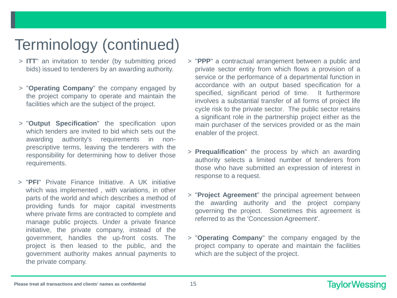- > **ITT**" an invitation to tender (by submitting priced bids) issued to tenderers by an awarding authority.
- > "**Operating Company**" the company engaged by the project company to operate and maintain the facilities which are the subject of the project.
- > "**Output Specification**" the specification upon which tenders are invited to bid which sets out the awarding authority's requirements in nonprescriptive terms, leaving the tenderers with the responsibility for determining how to deliver those requirements.
- > "**PFI**" Private Finance Initiative. A UK initiative which was implemented , with variations, in other parts of the world and which describes a method of providing funds for major capital investments where private firms are contracted to complete and manage public projects. Under a private finance initiative, the private company, instead of the government, handles the up-front costs. The project is then leased to the public, and the government authority makes annual payments to the private company.
- > "**PPP**" a contractual arrangement between a public and private sector entity from which flows a provision of a service or the performance of a departmental function in accordance with an output based specification for a specified, significant period of time. It furthermore involves a substantial transfer of all forms of project life cycle risk to the private sector. The public sector retains a significant role in the partnership project either as the main purchaser of the services provided or as the main enabler of the project.
- > **Prequalification**" the process by which an awarding authority selects a limited number of tenderers from those who have submitted an expression of interest in response to a request.
- > "**Project Agreement**" the principal agreement between the awarding authority and the project company governing the project. Sometimes this agreement is referred to as the 'Concession Agreement'.
- > "**Operating Company**" the company engaged by the project company to operate and maintain the facilities which are the subject of the project.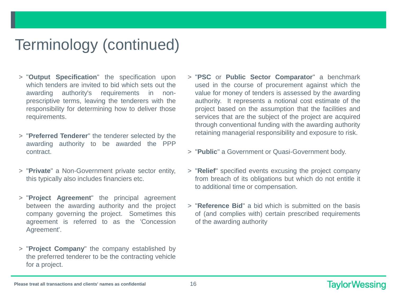- > "**Output Specification**" the specification upon which tenders are invited to bid which sets out the awarding authority's requirements in nonprescriptive terms, leaving the tenderers with the responsibility for determining how to deliver those requirements.
- > "**Preferred Tenderer**" the tenderer selected by the awarding authority to be awarded the PPP contract.
- > "**Private**" a Non-Government private sector entity, this typically also includes financiers etc.
- > "**Project Agreement**" the principal agreement between the awarding authority and the project company governing the project. Sometimes this agreement is referred to as the 'Concession Agreement'.
- > "**Project Company**" the company established by the preferred tenderer to be the contracting vehicle for a project.
- > "**PSC** or **Public Sector Comparator**" a benchmark used in the course of procurement against which the value for money of tenders is assessed by the awarding authority. It represents a notional cost estimate of the project based on the assumption that the facilities and services that are the subject of the project are acquired through conventional funding with the awarding authority retaining managerial responsibility and exposure to risk.
- > "**Public**" a Government or Quasi-Government body.
- > "**Relief**" specified events excusing the project company from breach of its obligations but which do not entitle it to additional time or compensation.
- > "**Reference Bid**" a bid which is submitted on the basis of (and complies with) certain prescribed requirements of the awarding authority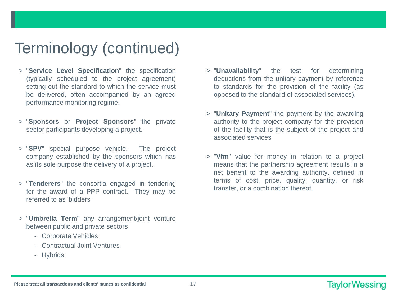- > "**Service Level Specification**" the specification (typically scheduled to the project agreement) setting out the standard to which the service must be delivered, often accompanied by an agreed performance monitoring regime.
- > "**Sponsors** or **Project Sponsors**" the private sector participants developing a project.
- > "**SPV**" special purpose vehicle. The project company established by the sponsors which has as its sole purpose the delivery of a project.
- > "**Tenderers**" the consortia engaged in tendering for the award of a PPP contract. They may be referred to as 'bidders'
- > "**Umbrella Term**" any arrangement/joint venture between public and private sectors
	- Corporate Vehicles
	- Contractual Joint Ventures
	- Hybrids
- > "**Unavailability**" the test for determining deductions from the unitary payment by reference to standards for the provision of the facility (as opposed to the standard of associated services).
- > "**Unitary Payment**" the payment by the awarding authority to the project company for the provision of the facility that is the subject of the project and associated services
- > "**Vfm**" value for money in relation to a project means that the partnership agreement results in a net benefit to the awarding authority, defined in terms of cost, price, quality, quantity, or risk transfer, or a combination thereof.

#### **Please treat all transactions and clients' names as confidential** 17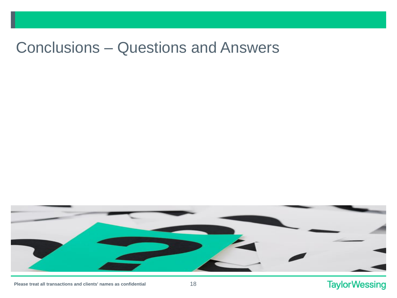## Conclusions – Questions and Answers



### **TaylorWessing**

**Please treat all transactions and clients' names as confidential** 18